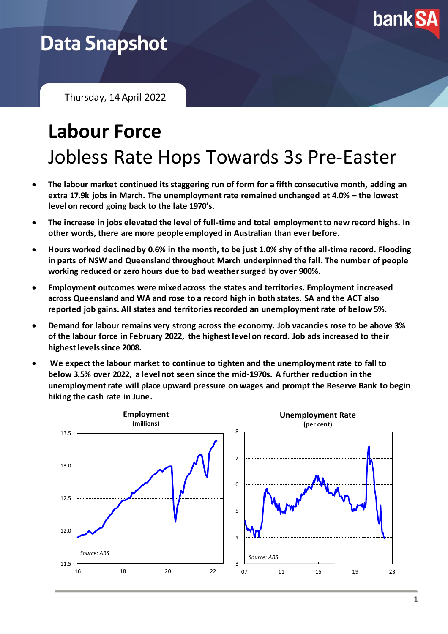

# **Data Snapshot**

Thursday, 14 April 2022

# **Labour Force** Jobless Rate Hops Towards 3s Pre-Easter

- **The labour market continued its staggering run of form for a fifth consecutive month, adding an extra 17.9k jobs in March. The unemployment rate remained unchanged at 4.0% – the lowest level on record going back to the late 1970's.**
- **The increase in jobs elevated the level of full-time and total employment to new record highs. In other words, there are more people employed in Australian than ever before.**
- **Hours worked declined by 0.6% in the month, to be just 1.0% shy of the all-time record. Flooding in parts of NSW and Queensland throughout March underpinned the fall. The number of people working reduced or zero hours due to bad weather surged by over 900%.**
- **Employment outcomes were mixed across the states and territories. Employment increased across Queensland and WA and rose to a record high in both states. SA and the ACT also reported job gains. All states and territories recorded an unemployment rate of below 5%.**
- **Demand for labour remains very strong across the economy. Job vacancies rose to be above 3% of the labour force in February 2022, the highest level on record. Job ads increased to their highest levels since 2008.**
- **We expect the labour market to continue to tighten and the unemployment rate to fall to below 3.5% over 2022, a level not seen since the mid-1970s. A further reduction in the unemployment rate will place upward pressure on wages and prompt the Reserve Bank to begin hiking the cash rate in June.**

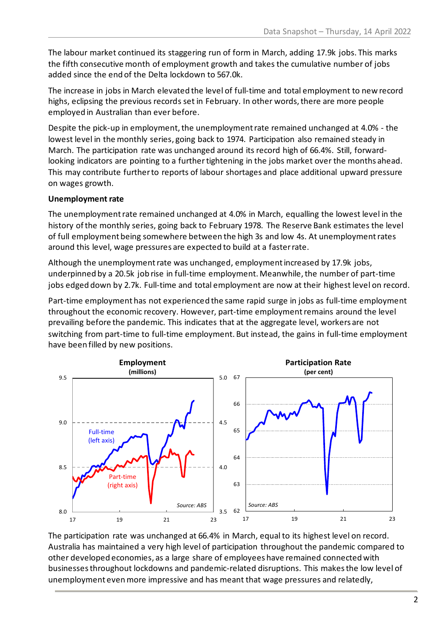The labour market continued its staggering run of form in March, adding 17.9k jobs. This marks the fifth consecutive month of employment growth and takes the cumulative number of jobs added since the end of the Delta lockdown to 567.0k.

The increase in jobs in March elevated the level of full-time and total employment to new record highs, eclipsing the previous records set in February. In other words, there are more people employed in Australian than ever before.

Despite the pick-up in employment, the unemployment rate remained unchanged at 4.0% - the lowest level in the monthly series, going back to 1974. Participation also remained steady in March. The participation rate was unchanged around its record high of 66.4%. Still, forwardlooking indicators are pointing to a furthertightening in the jobs market over the months ahead. This may contribute further to reports of labour shortages and place additional upward pressure on wages growth.

## **Unemployment rate**

The unemployment rate remained unchanged at 4.0% in March, equalling the lowest level in the history of the monthly series, going back to February 1978. The Reserve Bank estimates the level of full employment being somewhere between the high 3s and low 4s. At unemployment rates around this level, wage pressures are expected to build at a faster rate.

Although the unemployment rate was unchanged, employment increased by 17.9k jobs, underpinned by a 20.5k job rise in full-time employment. Meanwhile, the number of part-time jobs edged down by 2.7k. Full-time and total employment are now at their highest level on record.

Part-time employment has not experienced the same rapid surge in jobs as full-time employment throughout the economic recovery. However, part-time employment remains around the level prevailing before the pandemic. This indicates that at the aggregate level, workers are not switching from part-time to full-time employment. But instead, the gains in full-time employment have been filled by new positions.



The participation rate was unchanged at 66.4% in March, equal to its highest level on record. Australia has maintained a very high level of participation throughout the pandemic compared to other developed economies, as a large share of employees have remained connected with businessesthroughout lockdowns and pandemic-related disruptions. This makes the low level of unemployment even more impressive and has meant that wage pressures and relatedly,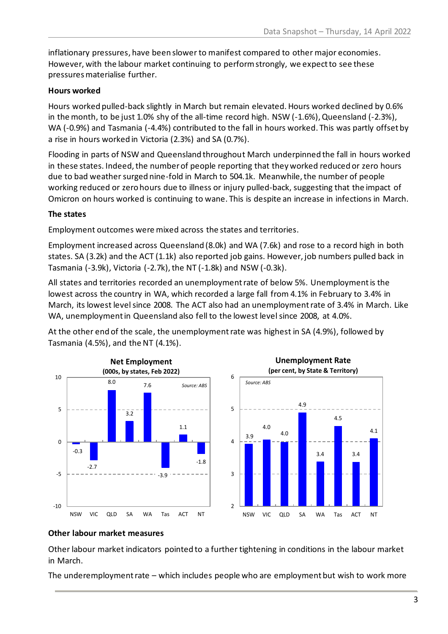inflationary pressures, have been slower to manifest compared to other major economies. However, with the labour market continuing to perform strongly, we expect to see these pressures materialise further.

## **Hours worked**

Hours worked pulled-back slightly in March but remain elevated. Hours worked declined by 0.6% in the month, to be just 1.0% shy of the all-time record high. NSW (-1.6%), Queensland (-2.3%), WA (-0.9%) and Tasmania (-4.4%) contributed to the fall in hours worked. This was partly offset by a rise in hours worked in Victoria (2.3%) and SA (0.7%).

Flooding in parts of NSW and Queensland throughout March underpinned the fall in hours worked in these states. Indeed, the number of people reporting that they worked reduced or zero hours due to bad weather surged nine-fold in March to 504.1k. Meanwhile, the number of people working reduced or zero hours due to illness or injury pulled-back, suggesting that the impact of Omicron on hours worked is continuing to wane. This is despite an increase in infections in March.

# **The states**

Employment outcomes were mixed across the states and territories.

Employment increased across Queensland (8.0k) and WA (7.6k) and rose to a record high in both states. SA (3.2k) and the ACT (1.1k) also reported job gains. However, job numbers pulled back in Tasmania (-3.9k), Victoria (-2.7k), the NT (-1.8k) and NSW (-0.3k).

All states and territories recorded an unemployment rate of below 5%. Unemployment is the lowest across the country in WA, which recorded a large fall from 4.1% in February to 3.4% in March, its lowest level since 2008. The ACT also had an unemployment rate of 3.4% in March. Like WA, unemployment in Queensland also fell to the lowest level since 2008, at 4.0%.

At the other end of the scale, the unemployment rate was highest in SA (4.9%), followed by Tasmania (4.5%), and the NT (4.1%).



3.9 4.0 4.0 4.9 3.4 4.5 3.4 4.1 **Unemployment Rate (per cent, by State & Territory)** *Source: ABS*

NSW VIC QLD SA WA Tas ACT NT

### **Other labour market measures**

Other labour market indicators pointed to a further tightening in conditions in the labour market in March.

 $\overline{2}$ 

3

4

5

6

The underemployment rate – which includes people who are employment but wish to work more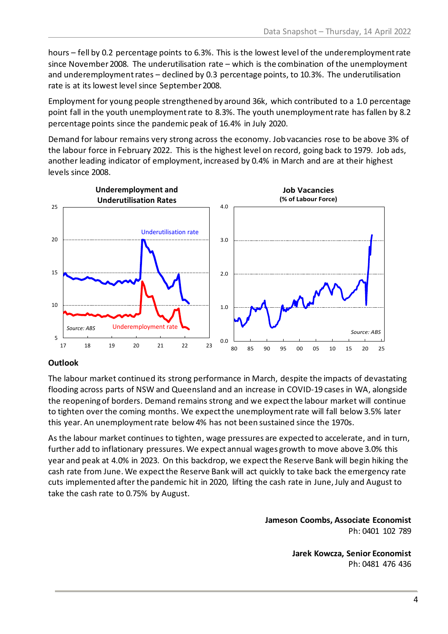hours – fell by 0.2 percentage points to 6.3%. This is the lowest level of the underemployment rate since November 2008. The underutilisation rate – which is the combination of the unemployment and underemployment rates – declined by 0.3 percentage points, to 10.3%. The underutilisation rate is at its lowest level since September 2008.

Employment for young people strengthened by around 36k, which contributed to a 1.0 percentage point fall in the youth unemployment rate to 8.3%. The youth unemployment rate has fallen by 8.2 percentage points since the pandemic peak of 16.4% in July 2020.

Demand for labour remains very strong across the economy. Job vacancies rose to be above 3% of the labour force in February 2022. This is the highest level on record, going back to 1979. Job ads, another leading indicator of employment, increased by 0.4% in March and are at their highest levels since 2008.



### **Outlook**

The labour market continued its strong performance in March, despite the impacts of devastating flooding across parts of NSW and Queensland and an increase in COVID-19 cases in WA, alongside the reopening of borders. Demand remains strong and we expectthe labour market will continue to tighten over the coming months. We expect the unemployment rate will fall below 3.5% later this year. An unemployment rate below 4% has not been sustained since the 1970s.

As the labour market continues to tighten, wage pressures are expected to accelerate, and in turn, further add to inflationary pressures. We expect annual wages growth to move above 3.0% this year and peak at 4.0% in 2023. On this backdrop, we expect the Reserve Bank will begin hiking the cash rate from June. We expect the Reserve Bank will act quickly to take back the emergency rate cuts implemented after the pandemic hit in 2020, lifting the cash rate in June, July and August to take the cash rate to 0.75% by August.

> **Jameson Coombs, Associate Economist** Ph: 0401 102 789

> > **Jarek Kowcza, Senior Economist** Ph: 0481 476 436